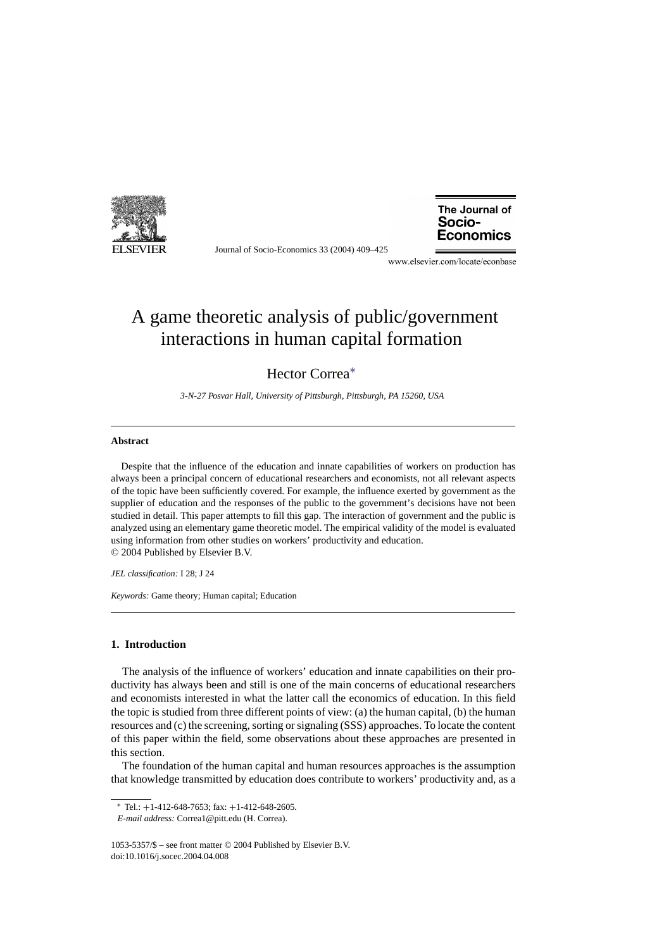

Journal of Socio-Economics 33 (2004) 409–425

The Journal of Socio-**Economics** 

www.elsevier.com/locate/econbase

## A game theoretic analysis of public/government interactions in human capital formation

Hector Correa∗

*3-N-27 Posvar Hall, University of Pittsburgh, Pittsburgh, PA 15260, USA*

## **Abstract**

Despite that the influence of the education and innate capabilities of workers on production has always been a principal concern of educational researchers and economists, not all relevant aspects of the topic have been sufficiently covered. For example, the influence exerted by government as the supplier of education and the responses of the public to the government's decisions have not been studied in detail. This paper attempts to fill this gap. The interaction of government and the public is analyzed using an elementary game theoretic model. The empirical validity of the model is evaluated using information from other studies on workers' productivity and education. © 2004 Published by Elsevier B.V.

*JEL classification:* I 28; J 24

*Keywords:* Game theory; Human capital; Education

## **1. Introduction**

The analysis of the influence of workers' education and innate capabilities on their productivity has always been and still is one of the main concerns of educational researchers and economists interested in what the latter call the economics of education. In this field the topic is studied from three different points of view: (a) the human capital, (b) the human resources and (c) the screening, sorting or signaling (SSS) approaches. To locate the content of this paper within the field, some observations about these approaches are presented in this section.

The foundation of the human capital and human resources approaches is the assumption that knowledge transmitted by education does contribute to workers' productivity and, as a

<sup>∗</sup> Tel.: +1-412-648-7653; fax: +1-412-648-2605.

*E-mail address:* Correa1@pitt.edu (H. Correa).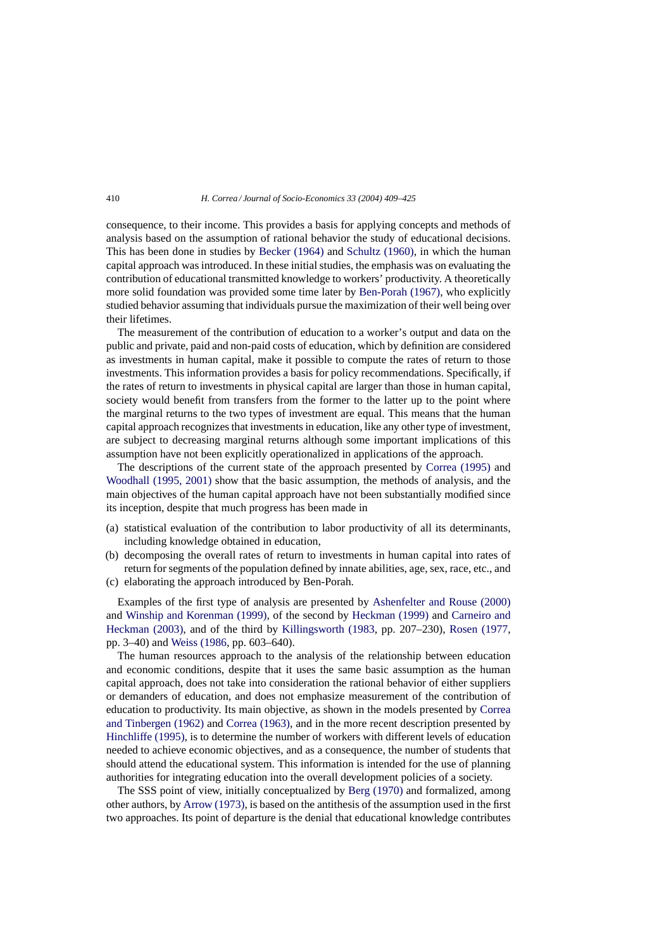consequence, to their income. This provides a basis for applying concepts and methods of analysis based on the assumption of rational behavior the study of educational decisions. This has been done in studies by [Becker \(1964\)](#page--1-0) and [Schultz \(1960\),](#page--1-0) in which the human capital approach was introduced. In these initial studies, the emphasis was on evaluating the contribution of educational transmitted knowledge to workers' productivity. A theoretically more solid foundation was provided some time later by [Ben-Porah \(1967\),](#page--1-0) who explicitly studied behavior assuming that individuals pursue the maximization of their well being over their lifetimes.

The measurement of the contribution of education to a worker's output and data on the public and private, paid and non-paid costs of education, which by definition are considered as investments in human capital, make it possible to compute the rates of return to those investments. This information provides a basis for policy recommendations. Specifically, if the rates of return to investments in physical capital are larger than those in human capital, society would benefit from transfers from the former to the latter up to the point where the marginal returns to the two types of investment are equal. This means that the human capital approach recognizes that investments in education, like any other type of investment, are subject to decreasing marginal returns although some important implications of this assumption have not been explicitly operationalized in applications of the approach.

The descriptions of the current state of the approach presented by [Correa \(1995\)](#page--1-0) and [Woodhall \(1995, 2001\)](#page--1-0) show that the basic assumption, the methods of analysis, and the main objectives of the human capital approach have not been substantially modified since its inception, despite that much progress has been made in

- (a) statistical evaluation of the contribution to labor productivity of all its determinants, including knowledge obtained in education,
- (b) decomposing the overall rates of return to investments in human capital into rates of return for segments of the population defined by innate abilities, age, sex, race, etc., and
- (c) elaborating the approach introduced by Ben-Porah.

Examples of the first type of analysis are presented by [Ashenfelter and Rouse \(2000\)](#page--1-0) and [Winship and Korenman \(1999\),](#page--1-0) of the second by [Heckman \(1999\)](#page--1-0) and [Carneiro and](#page--1-0) [Heckman \(2003\),](#page--1-0) and of the third by [Killingsworth \(1983,](#page--1-0) pp. 207–230), [Rosen \(1977,](#page--1-0) pp. 3–40) and [Weiss \(1986,](#page--1-0) pp. 603–640).

The human resources approach to the analysis of the relationship between education and economic conditions, despite that it uses the same basic assumption as the human capital approach, does not take into consideration the rational behavior of either suppliers or demanders of education, and does not emphasize measurement of the contribution of education to productivity. Its main objective, as shown in the models presented by [Correa](#page--1-0) [and Tinbergen \(1962\)](#page--1-0) and [Correa \(1963\),](#page--1-0) and in the more recent description presented by [Hinchliffe \(1995\), i](#page--1-0)s to determine the number of workers with different levels of education needed to achieve economic objectives, and as a consequence, the number of students that should attend the educational system. This information is intended for the use of planning authorities for integrating education into the overall development policies of a society.

The SSS point of view, initially conceptualized by [Berg \(1970\)](#page--1-0) and formalized, among other authors, by [Arrow \(1973\), i](#page--1-0)s based on the antithesis of the assumption used in the first two approaches. Its point of departure is the denial that educational knowledge contributes